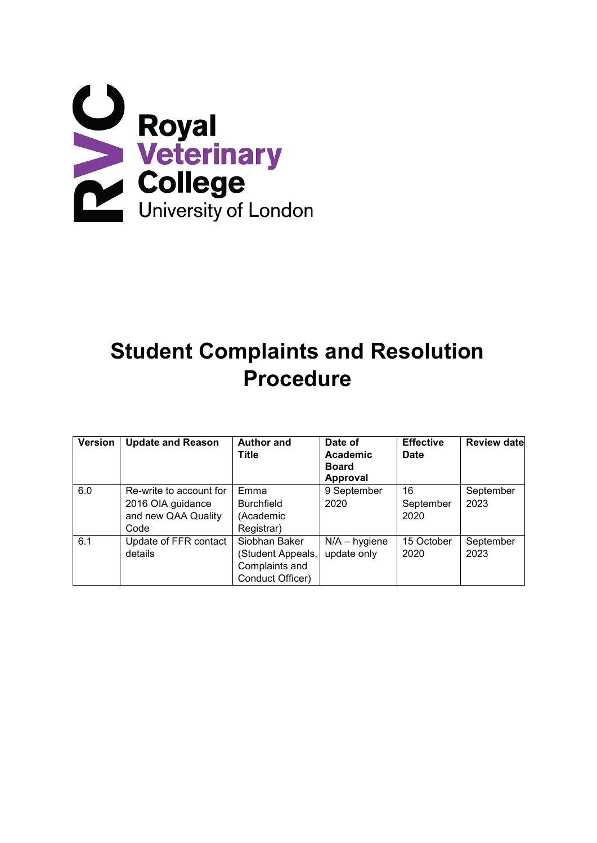

# **Student Complaints and Resolution Procedure**

| <b>Version</b> | <b>Update and Reason</b>                                                    | <b>Author and</b><br><b>Title</b>                                        | Date of<br>Academic<br><b>Board</b><br><b>Approval</b> | <b>Effective</b><br><b>Date</b> | <b>Review date</b> |
|----------------|-----------------------------------------------------------------------------|--------------------------------------------------------------------------|--------------------------------------------------------|---------------------------------|--------------------|
| 6.0            | Re-write to account for<br>2016 OIA guidance<br>and new QAA Quality<br>Code | Emma<br><b>Burchfield</b><br>(Academic<br>Registrar)                     | 9 September<br>2020                                    | 16<br>September<br>2020         | September<br>2023  |
| 6.1            | Update of FFR contact<br>details                                            | Siobhan Baker<br>(Student Appeals,<br>Complaints and<br>Conduct Officer) | $N/A - h$ ygiene<br>update only                        | 15 October<br>2020              | September<br>2023  |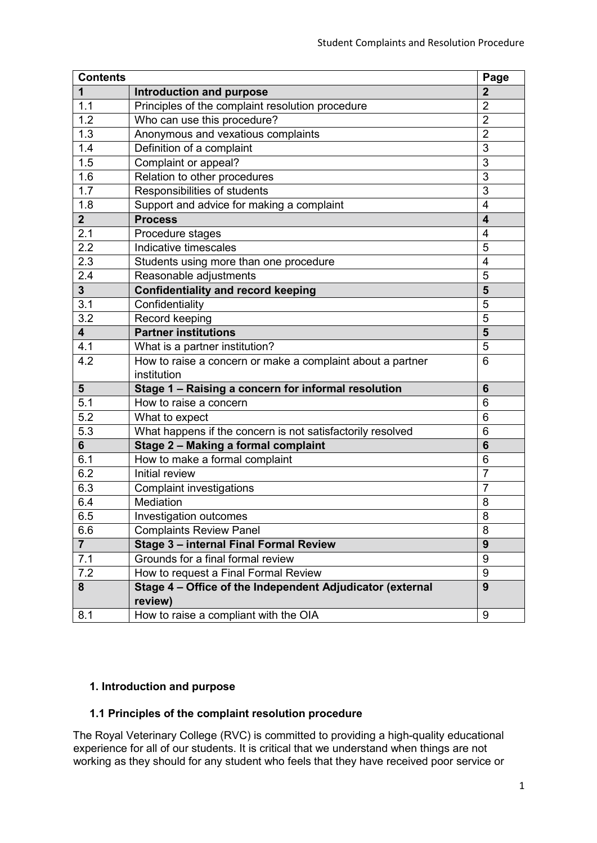| <b>Contents</b>         |                                                            | Page            |
|-------------------------|------------------------------------------------------------|-----------------|
| 1                       | <b>Introduction and purpose</b>                            | $\mathbf{2}$    |
| 1.1                     | Principles of the complaint resolution procedure           | $\overline{2}$  |
| 1.2                     | Who can use this procedure?                                |                 |
| 1.3                     | Anonymous and vexatious complaints                         | $\overline{2}$  |
| 1.4                     | Definition of a complaint                                  | 3               |
| 1.5                     | Complaint or appeal?                                       | 3               |
| $1.\overline{6}$        | Relation to other procedures                               | 3               |
| 1.7                     | Responsibilities of students                               |                 |
| 1.8                     | Support and advice for making a complaint                  |                 |
| $\overline{2}$          | <b>Process</b>                                             |                 |
| 2.1                     | Procedure stages                                           |                 |
| 2.2                     | Indicative timescales                                      | 5               |
| 2.3                     | Students using more than one procedure                     | 4               |
| 2.4                     | Reasonable adjustments                                     | 5               |
| $\overline{\mathbf{3}}$ | <b>Confidentiality and record keeping</b>                  | 5               |
| 3.1                     | Confidentiality                                            | 5               |
| 3.2                     | Record keeping                                             | 5               |
| $\overline{\mathbf{4}}$ | <b>Partner institutions</b>                                | 5               |
| 4.1                     | What is a partner institution?                             | 5               |
| 4.2                     | How to raise a concern or make a complaint about a partner | 6               |
|                         | institution                                                |                 |
| 5                       | Stage 1 - Raising a concern for informal resolution<br>6   |                 |
| 5.1                     | How to raise a concern                                     | 6               |
| 5.2                     | What to expect                                             | 6               |
| 5.3                     | What happens if the concern is not satisfactorily resolved | 6               |
| $6\phantom{1}$          | Stage 2 - Making a formal complaint                        | $6\phantom{1}6$ |
| 6.1                     | How to make a formal complaint                             | 6               |
| 6.2                     | <b>Initial review</b>                                      | $\overline{7}$  |
| 6.3                     | <b>Complaint investigations</b>                            | $\overline{7}$  |
| 6.4                     | Mediation                                                  | 8               |
| 6.5                     | Investigation outcomes                                     | 8               |
| 6.6                     | <b>Complaints Review Panel</b>                             | 8               |
| $\overline{7}$          | Stage 3 - internal Final Formal Review                     |                 |
| 7.1                     | Grounds for a final formal review                          | 9               |
| 7.2                     | How to request a Final Formal Review                       | 9               |
| 8                       | Stage 4 - Office of the Independent Adjudicator (external  | 9               |
|                         | review)                                                    |                 |
| 8.1                     | How to raise a compliant with the OIA                      | 9               |

## **1. Introduction and purpose**

## **1.1 Principles of the complaint resolution procedure**

The Royal Veterinary College (RVC) is committed to providing a high-quality educational experience for all of our students. It is critical that we understand when things are not working as they should for any student who feels that they have received poor service or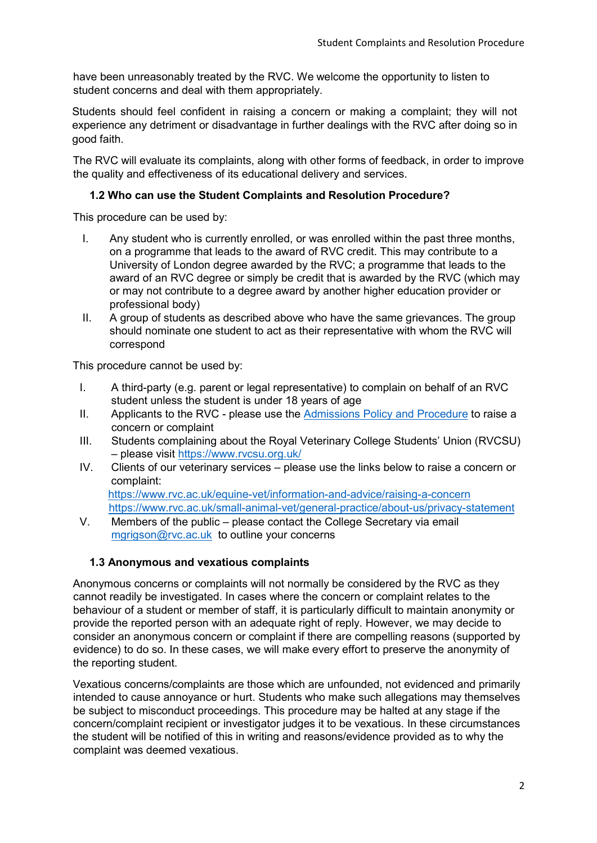have been unreasonably treated by the RVC. We welcome the opportunity to listen to student concerns and deal with them appropriately.

Students should feel confident in raising a concern or making a complaint; they will not experience any detriment or disadvantage in further dealings with the RVC after doing so in good faith.

The RVC will evaluate its complaints, along with other forms of feedback, in order to improve the quality and effectiveness of its educational delivery and services.

#### **1.2 Who can use the Student Complaints and Resolution Procedure?**

This procedure can be used by:

- I. Any student who is currently enrolled, or was enrolled within the past three months, on a programme that leads to the award of RVC credit. This may contribute to a University of London degree awarded by the RVC; a programme that leads to the award of an RVC degree or simply be credit that is awarded by the RVC (which may or may not contribute to a degree award by another higher education provider or professional body)
- II. A group of students as described above who have the same grievances. The group should nominate one student to act as their representative with whom the RVC will correspond

This procedure cannot be used by:

- I. A third-party (e.g. parent or legal representative) to complain on behalf of an RVC student unless the student is under 18 years of age
- II. Applicants to the RVC please use the [Admissions Policy and Procedure](https://www.rvc.ac.uk/Media/Default/About/Academic%20Quality,%20Regulations%20and%20Procedures/General/admissions-policy-taught-courses.pdf) [t](https://www.rvc.ac.uk/Media/Default/About/Academic%20Quality,%20Regulations%20and%20Procedures/General/admissions-policy-taught-courses.pdf)o raise a concern or complaint
- III. Students complaining about the Royal Veterinary College Students' Union (RVCSU) – please visit<https://www.rvcsu.org.uk/>
- IV. Clients of our veterinary services please use the links below to raise a concern or complaint:

<https://www.rvc.ac.uk/equine-vet/information-and-advice/raising-a-concern> <https://www.rvc.ac.uk/small-animal-vet/general-practice/about-us/privacy-statement>

V. Members of the public – please contact the College Secretary via email mgrigson@rvc.ac.uk to outline your concerns

## **1.3 Anonymous and vexatious complaints**

Anonymous concerns or complaints will not normally be considered by the RVC as they cannot readily be investigated. In cases where the concern or complaint relates to the behaviour of a student or member of staff, it is particularly difficult to maintain anonymity or provide the reported person with an adequate right of reply. However, we may decide to consider an anonymous concern or complaint if there are compelling reasons (supported by evidence) to do so. In these cases, we will make every effort to preserve the anonymity of the reporting student.

Vexatious concerns/complaints are those which are unfounded, not evidenced and primarily intended to cause annoyance or hurt. Students who make such allegations may themselves be subject to misconduct proceedings. This procedure may be halted at any stage if the concern/complaint recipient or investigator judges it to be vexatious. In these circumstances the student will be notified of this in writing and reasons/evidence provided as to why the complaint was deemed vexatious.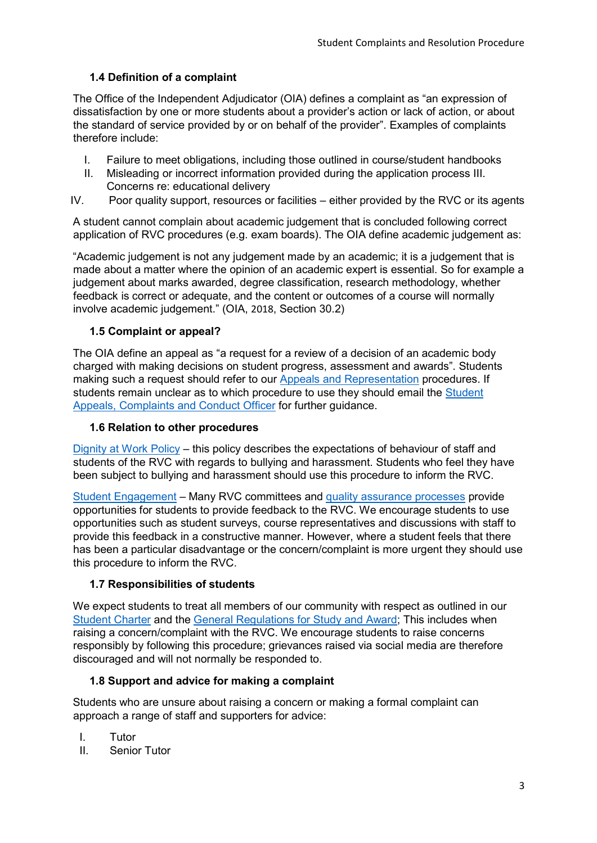# **1.4 Definition of a complaint**

The Office of the Independent Adjudicator (OIA) defines a complaint as "an expression of dissatisfaction by one or more students about a provider's action or lack of action, or about the standard of service provided by or on behalf of the provider". Examples of complaints therefore include:

- I. Failure to meet obligations, including those outlined in course/student handbooks
- II. Misleading or incorrect information provided during the application process III. Concerns re: educational delivery
- IV. Poor quality support, resources or facilities either provided by the RVC or its agents

A student cannot complain about academic judgement that is concluded following correct application of RVC procedures (e.g. exam boards). The OIA define academic judgement as:

"Academic judgement is not any judgement made by an academic; it is a judgement that is made about a matter where the opinion of an academic expert is essential. So for example a judgement about marks awarded, degree classification, research methodology, whether feedback is correct or adequate, and the content or outcomes of a course will normally involve academic judgement." (OIA, [2018](https://eur01.safelinks.protection.outlook.com/?url=https%3A%2F%2Fonlinelibrary.wiley.com%2Fdoi%2Ffull%2F10.1111%2F1467-9752.12431%23jope12431-bib-0017&data=02%7C01%7Ceburchfield%40rvc.ac.uk%7C1a5d847b05de42341f8908d84f4ca39a%7C45a3be7c94024fbead438d1faebfb42d%7C0%7C0%7C637346538397791009&sdata=vuv1gbcGB0eq8Bh3NDa5cpK%2BkPbv02qqElEa8iLCxMk%3D&reserved=0)[,](https://eur01.safelinks.protection.outlook.com/?url=https%3A%2F%2Fonlinelibrary.wiley.com%2Fdoi%2Ffull%2F10.1111%2F1467-9752.12431%23jope12431-bib-0017&data=02%7C01%7Ceburchfield%40rvc.ac.uk%7C1a5d847b05de42341f8908d84f4ca39a%7C45a3be7c94024fbead438d1faebfb42d%7C0%7C0%7C637346538397791009&sdata=vuv1gbcGB0eq8Bh3NDa5cpK%2BkPbv02qqElEa8iLCxMk%3D&reserved=0) Section 30.2)

#### **1.5 Complaint or appeal?**

The OIA define an appeal as "a request for a review of a decision of an academic body charged with making decisions on student progress, assessment and awards". Students making such a request should refer to our [Appeals and Representation](https://www.rvc.ac.uk/about/the-rvc/academic-quality-regulations-procedures#panel-further-student-policies-and-procedures) procedures. If students remain unclear as to which procedure to use they should email the Student Appeals, Complaints and Conduct Officer for further guidance.

#### **1.6 Relation to other procedures**

[Dignity at Work Policy](https://www.rvc.ac.uk/Media/Default/About/Human%20Resources/Documents/dignity-at-work-policy.pdf) – this policy describes the expectations of behaviour of staff and students of the RVC with regards to bullying and harassment. Students who feel they have been subject to bullying and harassment should use this procedure to inform the RVC.

[Student Engagement](https://www.rvc.ac.uk/about/the-rvc/academic-quality-regulations-procedures/student-engagement#panel-student-representatives) – Many RVC committees and [quality assurance processes](https://www.rvc.ac.uk/about/the-rvc/academic-quality-regulations-procedures#panel-academic-quality-assurance-enhancement-procedures) provide opportunities for students to provide feedback to the RVC. We encourage students to use opportunities such as student surveys, course representatives and discussions with staff to provide this feedback in a constructive manner. However, where a student feels that there has been a particular disadvantage or the concern/complaint is more urgent they should use this procedure to inform the RVC.

#### **1.7 Responsibilities of students**

We expect students to treat all members of our community with respect as outlined in our [Student Charter](https://www.rvc.ac.uk/Media/Default/About/Academic%20Quality,%20Regulations%20and%20Procedures/General/THE%20ROYAL%20VETERINARY%20COLLEGE%20CHARTER.pdf) and the [General Regulations for Study and Award;](https://www.rvc.ac.uk/about/the-rvc/academic-quality-regulations-procedures#panel-further-student-policies-and-procedures) This includes when raising a concern/complaint with the RVC. We encourage students to raise concerns responsibly by following this procedure; grievances raised via social media are therefore discouraged and will not normally be responded to.

## **1.8 Support and advice for making a complaint**

Students who are unsure about raising a concern or making a formal complaint can approach a range of staff and supporters for advice:

- I. Tutor
- II. Senior Tutor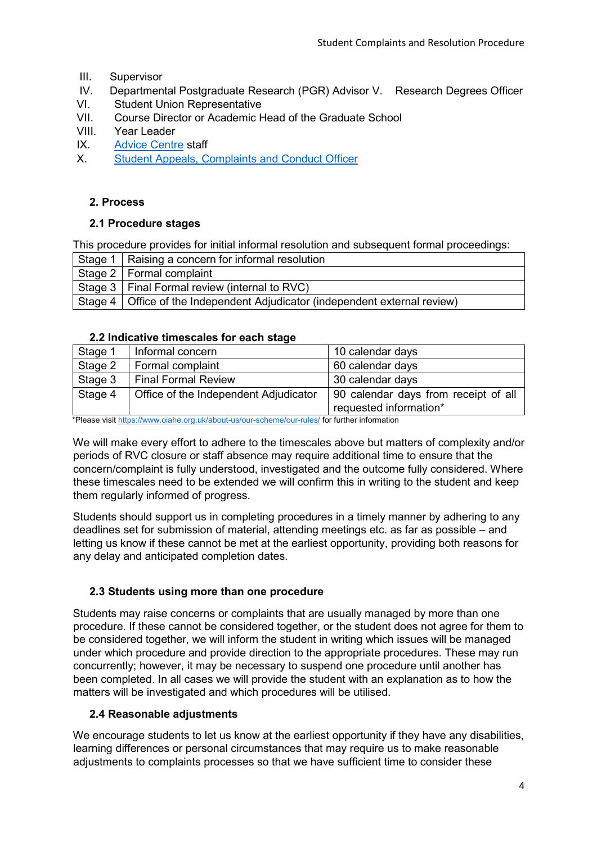- III. Supervisor
- IV. Departmental Postgraduate Research (PGR) Advisor V. Research Degrees Officer
- VI. Student Union Representative
- VII. Course Director or Academic Head of the Graduate School
- VIII. Year Leader
- IX. Advice Centre staff
- X. Student Appeals, Complaints and Conduct Officer

#### **2. Process**

#### **2.1 Procedure stages**

This procedure provides for initial informal resolution and subsequent formal proceedings:

| Stage 1   Raising a concern for informal resolution                           |  |
|-------------------------------------------------------------------------------|--|
| Stage 2   Formal complaint                                                    |  |
| Stage 3   Final Formal review (internal to RVC)                               |  |
| Stage 4   Office of the Independent Adjudicator (independent external review) |  |

#### **2.2 Indicative timescales for each stage**

| Stage 1                                                                                       | Informal concern                      | 10 calendar days                     |  |
|-----------------------------------------------------------------------------------------------|---------------------------------------|--------------------------------------|--|
| Stage 2                                                                                       | Formal complaint                      | 60 calendar days                     |  |
| Stage 3                                                                                       | Final Formal Review                   | 30 calendar days                     |  |
| Stage 4                                                                                       | Office of the Independent Adjudicator | 90 calendar days from receipt of all |  |
|                                                                                               |                                       | requested information*               |  |
| *Dlogoo vioit https://www.oigbo.org.uk/gbout.us/our.oppomo/our.rules/ for further information |                                       |                                      |  |

\*Please vi[sit https://www.oiahe.org.uk/about-us/our-scheme/our-rules/](https://www.oiahe.org.uk/about-us/our-scheme/our-rules/) [fo](https://www.oiahe.org.uk/about-us/our-scheme/our-rules/)r further information

We will make every effort to adhere to the timescales above but matters of complexity and/or periods of RVC closure or staff absence may require additional time to ensure that the concern/complaint is fully understood, investigated and the outcome fully considered. Where these timescales need to be extended we will confirm this in writing to the student and keep them regularly informed of progress.

Students should support us in completing procedures in a timely manner by adhering to any deadlines set for submission of material, attending meetings etc. as far as possible – and letting us know if these cannot be met at the earliest opportunity, providing both reasons for any delay and anticipated completion dates.

## **2.3 Students using more than one procedure**

Students may raise concerns or complaints that are usually managed by more than one procedure. If these cannot be considered together, or the student does not agree for them to be considered together, we will inform the student in writing which issues will be managed under which procedure and provide direction to the appropriate procedures. These may run concurrently; however, it may be necessary to suspend one procedure until another has been completed. In all cases we will provide the student with an explanation as to how the matters will be investigated and which procedures will be utilised.

## **2.4 Reasonable adjustments**

We encourage students to let us know at the earliest opportunity if they have any disabilities, learning differences or personal circumstances that may require us to make reasonable adjustments to complaints processes so that we have sufficient time to consider these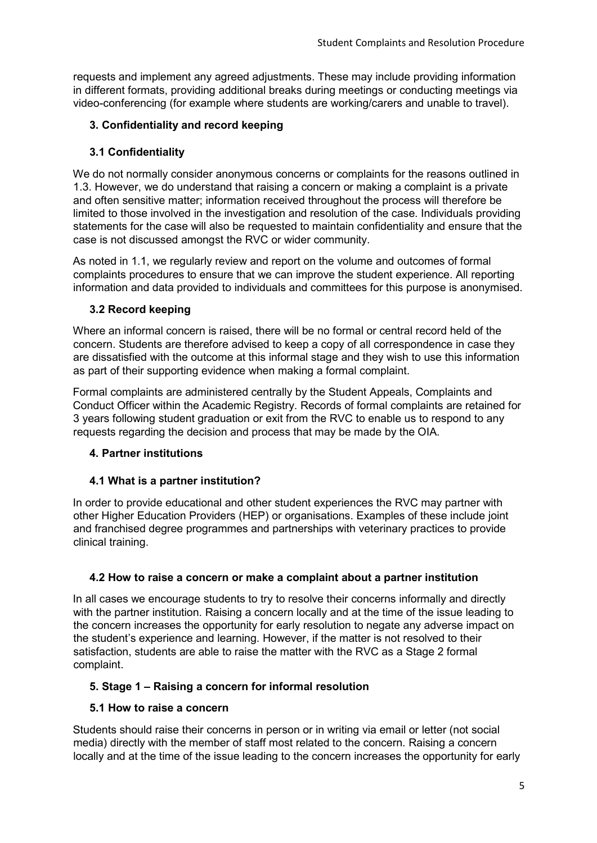requests and implement any agreed adjustments. These may include providing information in different formats, providing additional breaks during meetings or conducting meetings via video-conferencing (for example where students are working/carers and unable to travel).

# **3. Confidentiality and record keeping**

# **3.1 Confidentiality**

We do not normally consider anonymous concerns or complaints for the reasons outlined in 1.3. However, we do understand that raising a concern or making a complaint is a private and often sensitive matter; information received throughout the process will therefore be limited to those involved in the investigation and resolution of the case. Individuals providing statements for the case will also be requested to maintain confidentiality and ensure that the case is not discussed amongst the RVC or wider community.

As noted in 1.1, we regularly review and report on the volume and outcomes of formal complaints procedures to ensure that we can improve the student experience. All reporting information and data provided to individuals and committees for this purpose is anonymised.

## **3.2 Record keeping**

Where an informal concern is raised, there will be no formal or central record held of the concern. Students are therefore advised to keep a copy of all correspondence in case they are dissatisfied with the outcome at this informal stage and they wish to use this information as part of their supporting evidence when making a formal complaint.

Formal complaints are administered centrally by the Student Appeals, Complaints and Conduct Officer within the Academic Registry. Records of formal complaints are retained for 3 years following student graduation or exit from the RVC to enable us to respond to any requests regarding the decision and process that may be made by the OIA.

## **4. Partner institutions**

## **4.1 What is a partner institution?**

In order to provide educational and other student experiences the RVC may partner with other Higher Education Providers (HEP) or organisations. Examples of these include joint and franchised degree programmes and partnerships with veterinary practices to provide clinical training.

## **4.2 How to raise a concern or make a complaint about a partner institution**

In all cases we encourage students to try to resolve their concerns informally and directly with the partner institution. Raising a concern locally and at the time of the issue leading to the concern increases the opportunity for early resolution to negate any adverse impact on the student's experience and learning. However, if the matter is not resolved to their satisfaction, students are able to raise the matter with the RVC as a Stage 2 formal complaint.

## **5. Stage 1 – Raising a concern for informal resolution**

## **5.1 How to raise a concern**

Students should raise their concerns in person or in writing via email or letter (not social media) directly with the member of staff most related to the concern. Raising a concern locally and at the time of the issue leading to the concern increases the opportunity for early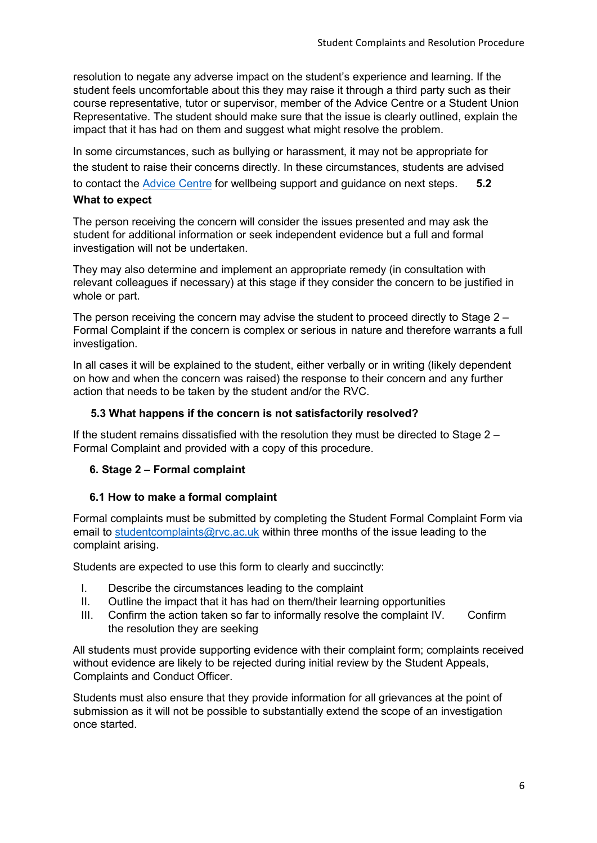resolution to negate any adverse impact on the student's experience and learning. If the student feels uncomfortable about this they may raise it through a third party such as their course representative, tutor or supervisor, member of the Advice Centre or a Student Union Representative. The student should make sure that the issue is clearly outlined, explain the impact that it has had on them and suggest what might resolve the problem.

In some circumstances, such as bullying or harassment, it may not be appropriate for the student to raise their concerns directly. In these circumstances, students are advised to contact the Advice Centre for wellbeing support and guidance on next steps. **5.2 What to expect** 

The person receiving the concern will consider the issues presented and may ask the student for additional information or seek independent evidence but a full and formal investigation will not be undertaken.

They may also determine and implement an appropriate remedy (in consultation with relevant colleagues if necessary) at this stage if they consider the concern to be justified in whole or part.

The person receiving the concern may advise the student to proceed directly to Stage  $2 -$ Formal Complaint if the concern is complex or serious in nature and therefore warrants a full investigation.

In all cases it will be explained to the student, either verbally or in writing (likely dependent on how and when the concern was raised) the response to their concern and any further action that needs to be taken by the student and/or the RVC.

#### **5.3 What happens if the concern is not satisfactorily resolved?**

If the student remains dissatisfied with the resolution they must be directed to Stage 2 – Formal Complaint and provided with a copy of this procedure.

#### **6. Stage 2 – Formal complaint**

#### **6.1 How to make a formal complaint**

Formal complaints must be submitted by completing the Student Formal Complaint Form via email to studentcomplaints@rvc.ac.uk within three months of the issue leading to the complaint arising.

Students are expected to use this form to clearly and succinctly:

- I. Describe the circumstances leading to the complaint
- II. Outline the impact that it has had on them/their learning opportunities
- III. Confirm the action taken so far to informally resolve the complaint IV. Confirm the resolution they are seeking

All students must provide supporting evidence with their complaint form; complaints received without evidence are likely to be rejected during initial review by the Student Appeals, Complaints and Conduct Officer.

Students must also ensure that they provide information for all grievances at the point of submission as it will not be possible to substantially extend the scope of an investigation once started.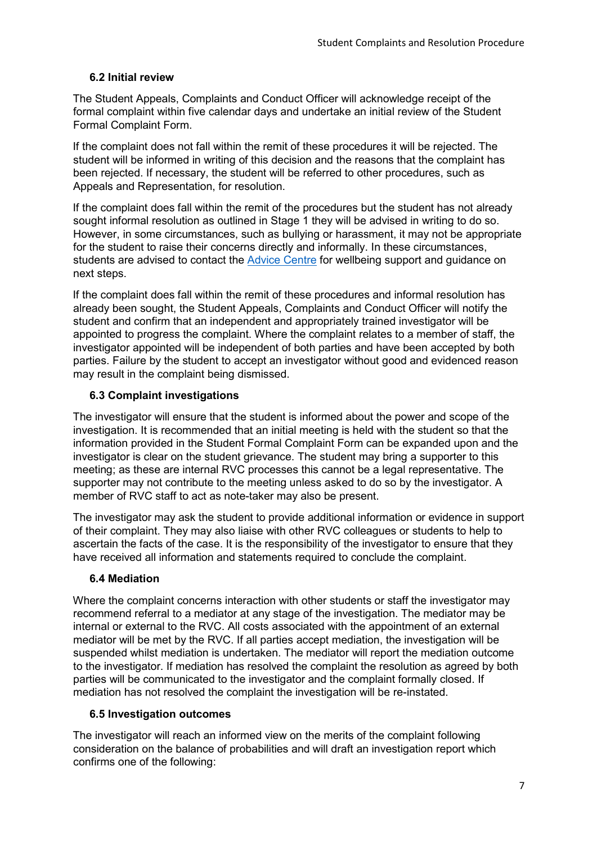# **6.2 Initial review**

The Student Appeals, Complaints and Conduct Officer will acknowledge receipt of the formal complaint within five calendar days and undertake an initial review of the Student Formal Complaint Form.

If the complaint does not fall within the remit of these procedures it will be rejected. The student will be informed in writing of this decision and the reasons that the complaint has been rejected. If necessary, the student will be referred to other procedures, such as Appeals and Representation, for resolution.

If the complaint does fall within the remit of the procedures but the student has not already sought informal resolution as outlined in Stage 1 they will be advised in writing to do so. However, in some circumstances, such as bullying or harassment, it may not be appropriate for the student to raise their concerns directly and informally. In these circumstances, students are advised to contact the Advice Centre for wellbeing support and guidance on next steps.

If the complaint does fall within the remit of these procedures and informal resolution has already been sought, the Student Appeals, Complaints and Conduct Officer will notify the student and confirm that an independent and appropriately trained investigator will be appointed to progress the complaint. Where the complaint relates to a member of staff, the investigator appointed will be independent of both parties and have been accepted by both parties. Failure by the student to accept an investigator without good and evidenced reason may result in the complaint being dismissed.

## **6.3 Complaint investigations**

The investigator will ensure that the student is informed about the power and scope of the investigation. It is recommended that an initial meeting is held with the student so that the information provided in the Student Formal Complaint Form can be expanded upon and the investigator is clear on the student grievance. The student may bring a supporter to this meeting; as these are internal RVC processes this cannot be a legal representative. The supporter may not contribute to the meeting unless asked to do so by the investigator. A member of RVC staff to act as note-taker may also be present.

The investigator may ask the student to provide additional information or evidence in support of their complaint. They may also liaise with other RVC colleagues or students to help to ascertain the facts of the case. It is the responsibility of the investigator to ensure that they have received all information and statements required to conclude the complaint.

# **6.4 Mediation**

Where the complaint concerns interaction with other students or staff the investigator may recommend referral to a mediator at any stage of the investigation. The mediator may be internal or external to the RVC. All costs associated with the appointment of an external mediator will be met by the RVC. If all parties accept mediation, the investigation will be suspended whilst mediation is undertaken. The mediator will report the mediation outcome to the investigator. If mediation has resolved the complaint the resolution as agreed by both parties will be communicated to the investigator and the complaint formally closed. If mediation has not resolved the complaint the investigation will be re-instated.

## **6.5 Investigation outcomes**

The investigator will reach an informed view on the merits of the complaint following consideration on the balance of probabilities and will draft an investigation report which confirms one of the following: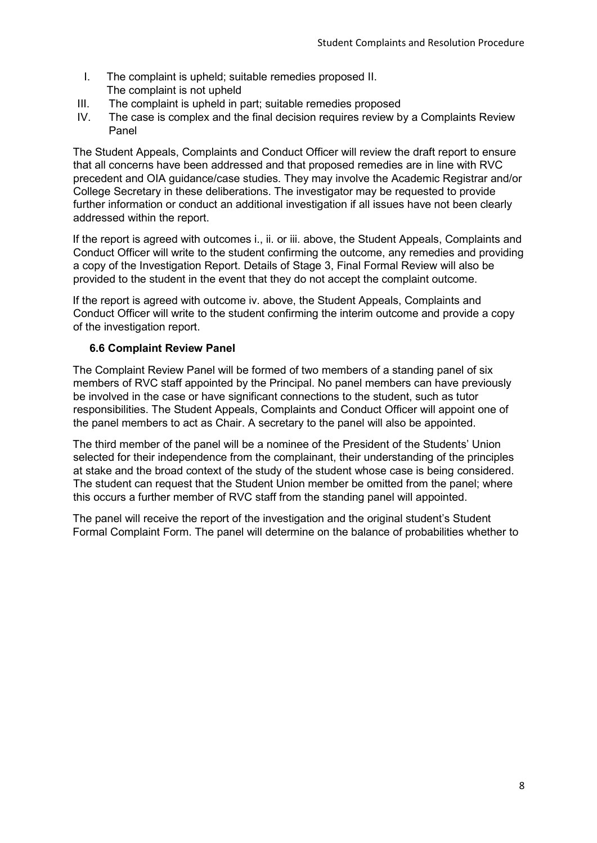- I. The complaint is upheld; suitable remedies proposed II. The complaint is not upheld
- III. The complaint is upheld in part; suitable remedies proposed
- IV. The case is complex and the final decision requires review by a Complaints Review Panel

The Student Appeals, Complaints and Conduct Officer will review the draft report to ensure that all concerns have been addressed and that proposed remedies are in line with RVC precedent and OIA guidance/case studies. They may involve the Academic Registrar and/or College Secretary in these deliberations. The investigator may be requested to provide further information or conduct an additional investigation if all issues have not been clearly addressed within the report.

If the report is agreed with outcomes i., ii. or iii. above, the Student Appeals, Complaints and Conduct Officer will write to the student confirming the outcome, any remedies and providing a copy of the Investigation Report. Details of Stage 3, Final Formal Review will also be provided to the student in the event that they do not accept the complaint outcome.

If the report is agreed with outcome iv. above, the Student Appeals, Complaints and Conduct Officer will write to the student confirming the interim outcome and provide a copy of the investigation report.

## **6.6 Complaint Review Panel**

The Complaint Review Panel will be formed of two members of a standing panel of six members of RVC staff appointed by the Principal. No panel members can have previously be involved in the case or have significant connections to the student, such as tutor responsibilities. The Student Appeals, Complaints and Conduct Officer will appoint one of the panel members to act as Chair. A secretary to the panel will also be appointed.

The third member of the panel will be a nominee of the President of the Students' Union selected for their independence from the complainant, their understanding of the principles at stake and the broad context of the study of the student whose case is being considered. The student can request that the Student Union member be omitted from the panel; where this occurs a further member of RVC staff from the standing panel will appointed.

The panel will receive the report of the investigation and the original student's Student Formal Complaint Form. The panel will determine on the balance of probabilities whether to